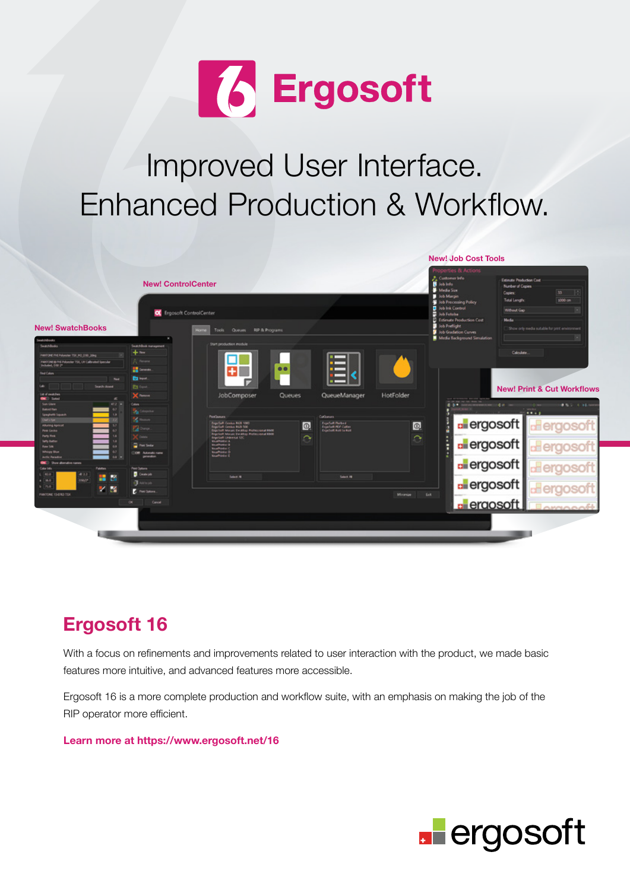

# Improved User Interface. Enhanced Production & Workflow.



### **Ergosoft 16**

With a focus on refinements and improvements related to user interaction with the product, we made basic features more intuitive, and advanced features more accessible.

Ergosoft 16 is a more complete production and workflow suite, with an emphasis on making the job of the RIP operator more efficient.

**Learn more at https://www.ergosoft.net/16**